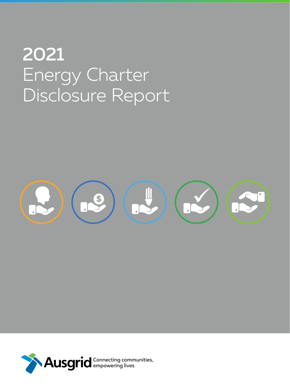# 2021 Energy Charter Disclosure Report



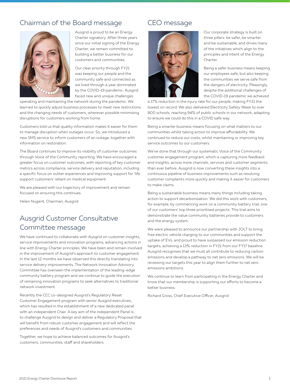## Chairman of the Board message



Ausgrid is proud to be an Energy Charter signatory. After three years since our initial signing of the Energy Charter, we remain committed to building a better business for our customers and communities.

Our clear priority through FY21 was keeping our people and the community safe and connected as we lived through a year dominated by the COVID-19 pandemic. Ausgrid faced new and unique challenges

operating and maintaining the network during the pandemic. We learned to quickly adjust business processes to meet new restrictions and the changing needs of customers, wherever possible minimising disruptions for customers working from home.

Customers told us that quality information makes it easier for them to manage disruption when outages occur. So, we introduced a new SMS service to inform customers of an outage, together with information on restoration.

The Board continues to improve its visibility of customer outcomes through Voice of the Community reporting. We have encouraged a greater focus on customer outcomes, with reporting of key customer metrics across compliance, service delivery and reputation, including a specific focus on outlier experiences and improving support for 'life support customers' reliant on medical equipment.

We are pleased with our trajectory of improvement and remain focused on ensuring this continues.

Helen Nugent, Chairman, Ausgrid

# Ausgrid Customer Consultative Committee message

We have continued to collaborate with Ausgrid on customer insights, service improvements and innovation programs, advancing actions in line with Energy Charter principles. We have been and remain involved in the improvement of Ausgrid's approach to customer engagement. In the last 12 months we have observed this directly translating into service delivery improvements. The Network Innovation Advisory Committee has overseen the implementation of the leading-edge community battery program and we continue to guide the execution of remaining innovation programs to seek alternatives to traditional network investment.

Recently the CCC co-designed Ausgrid's Regulatory Reset Customer Engagement program with senior Ausgrid executives, which has resulted in the establishment of a new dedicated panel with an independent Chair. A key aim of the independent Panel is to challenge Ausgrid to design and deliver a Regulatory Proposal that will benefit from robust customer engagement and will reflect the preferences and needs of Ausgrid's customers and communities.

Together, we hope to achieve balanced outcomes for Ausgrid's customers, communities, staff and shareholders.

## CEO message



Our corporate strategy is built on three pillars: be safer, be smarter and be sustainable, and drives many of the initiatives which align to the principles and intent of the Energy Charter

Being a safer business means keeping our employees safe, but also keeping the communities we serve safe from the dangers of electricity. Pleasingly, despite the additional challenges of the COVID-19 pandemic we achieved

a 17% reduction in the injury rate for our people, making FY21 the lowest on record. We also delivered Electricity Safety Week to over 800 schools, reaching 94% of public schools in our network, adapting to ensure we could do this in a COVID safe way.

Being a smarter business means focusing on what matters to our communities whilst taking action to improve affordability. We continued to reduce our costs, whilst maintaining or improving key service outcomes to our customers.

We've done that through our systematic Voice of the Community customer engagement program, which is capturing more feedback and insights, across more channels, services and customer segments than ever before. Ausgrid is now converting these insights into a continuous pipeline of business improvements such as resolving customer complaints more quickly and making it easier for customers to make claims.

Being a sustainable business means many things including taking action to support decarbonisation. We did this work with customers, for example, by commencing work on a community battery trial, one of our customers' top three prioritised projects. This trial aims to demonstrate the value community batteries provide to customers and the energy system.

We were pleased to announce our partnership with JOLT to bring free electric vehicle charging to our communities and support the uptake of EVs, and proud to have surpassed our emission reduction targets, achieving a 13% reduction in FY21 from our FY17 baseline. Ausgrid recognises that we must all contribute to reducing carbon emissions and develop a pathway to net zero emissions. We will be reviewing our targets this year to align them further to net zero emissions ambitions.

We continue to learn from participating in the Energy Charter and know that our membership is supporting our efforts to become a better business.

Richard Gross, Chief Executive Officer, Ausgrid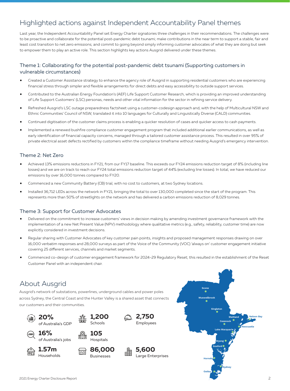# Highlighted actions against Independent Accountability Panel themes

Last year, the Independent Accountability Panel set Energy Charter signatories three challenges in their recommendations. The challenges were: to be proactive and collaborate for the potential post-pandemic debt tsunami; make contributions in the near term to support a stable, fair and least cost transition to net zero emissions; and commit to going beyond simply informing customer advocates of what they are doing but seek to empower them to play an active role. This section highlights key actions Ausgrid delivered under these themes.

#### Theme 1: Collaborating for the potential post-pandemic debt tsunami (Supporting customers in vulnerable circumstances)

- Created a Customer Assistance strategy to enhance the agency role of Ausgrid in supporting residential customers who are experiencing financial stress through simpler and flexible arrangements for direct debts and easy accessibility to outside support services.
- Contributed to the Australian Energy Foundation's (AEF) Life Support Customer Research, which is providing an improved understanding of Life Support Customers' (LSC) personas, needs and other vital information for the sector in refining service delivery.
- Refreshed Ausgrid's LSC outage preparedness factsheet using a customer-codesign approach and, with the help of Multicultural NSW and Ethnic Communities' Council of NSW, translated it into 10 languages for Culturally and Linguistically Diverse (CALD) communities.
- Continued digitisation of the customer claims process is enabling a quicker resolution of cases and quicker access to cash payments.
- Implemented a renewed bushfire compliance customer engagement program that included additional earlier communications, as well as early identification of financial capacity concerns, managed through a tailored customer assistance process. This resulted in over 95% of private electrical asset defects rectified by customers within the compliance timeframe without needing Ausgrid's emergency intervention.

#### Theme 2: Net Zero

- Achieved 13% emissions reductions in FY21, from our FY17 baseline. This exceeds our FY24 emissions reduction target of 8% (including line losses) and we are on track to reach our FY24 total emissions reduction target of 44% (excluding line losses). In total, we have reduced our emissions by over 16,000 tonnes compared to FY20.
- Commenced a new Community Battery (CB) trial, with no cost to customers, at two Sydney locations.
- Installed 36,712 LEDs across the network in FY21, bringing the total to over 130,000 completed since the start of the program. This represents more than 50% of streetlights on the network and has delivered a carbon emissions reduction of 8,029 tonnes.

#### Theme 3: Support for Customer Advocates

- Delivered on the commitment to increase customers' views in decision making by amending investment governance framework with the implementation of a new Net Present Value (NPV) methodology where qualitative metrics (e.g., safety, reliability, customer time) are now explicitly considered in investment decisions.
- Regular sharing with Customer Advocates of key customer pain points, insights and proposed management responses drawing on over 16,000 verbatim responses and 28,000 surveys as part of the Voice of the Community (VOC) 'always on' customer engagement initiative covering 25 different services, channels and market segments.
- Commenced co-design of customer engagement framework for 2024-29 Regulatory Reset; this resulted in the establishment of the Reset Customer Panel with an independent chair.

## About Ausgrid

Ausgrid's network of substations, powerlines, underground cables and power poles across Sydney, the Central Coast and the Hunter Valley is a shared asset that connects our customers and their communities.



**16%**

**1.57m** Households

ळित

of Australia's jobs



**105 Hospitals** 

**86,000 Businesses** 









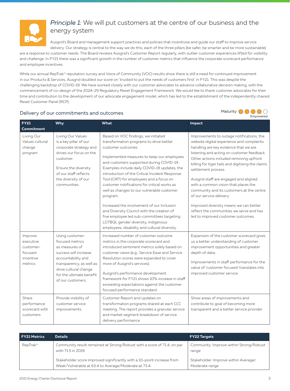

## *Principle 1:* We will put customers at the centre of our business and the energy system

Ausgrid's Board and management support practices and policies that incentivise and guide our staff to improve service delivery. Our strategy is central to the way we do this; each of the three pillars (be safer, be smarter and be more sustainable)

are a response to customer needs. The Board reviews Ausgrid's Customer Report regularly, with outlier customer experiences lifted for visibility and challenge. In FY21 there was a significant growth in the number of customer metrics that influence the corporate scorecard performance and employee incentives.

While our annual RepTrak® reputation survey and Voice of Community (VOC) results show there is still a need for continued improvement in our Products & Services, Ausgrid doubled our score on 'trusted to put the needs of customers first' in FY21. This was despite the challenging backdrop of COVID-19. We have worked closely with our customer advocates to advance collaborative decision making, with the commencement of co-design of the 2024-29 Regulatory Reset Engagement Framework. We would like to thank customer advocates for their time and contribution to the development of our advocate engagement model, which has led to the establishment of the independently chaired Reset Customer Panel (RCP).



| <b>FY21</b><br><b>Commitment</b>                                     | Why                                                                                                                                                                                                       | What                                                                                                                                                                                                                                                                                                                                                                                                                                                                                                                                                                                                                                                                                      | Impact                                                                                                                                                                                                                                                                                                                                                                                                                                                                                                                                                                                     |
|----------------------------------------------------------------------|-----------------------------------------------------------------------------------------------------------------------------------------------------------------------------------------------------------|-------------------------------------------------------------------------------------------------------------------------------------------------------------------------------------------------------------------------------------------------------------------------------------------------------------------------------------------------------------------------------------------------------------------------------------------------------------------------------------------------------------------------------------------------------------------------------------------------------------------------------------------------------------------------------------------|--------------------------------------------------------------------------------------------------------------------------------------------------------------------------------------------------------------------------------------------------------------------------------------------------------------------------------------------------------------------------------------------------------------------------------------------------------------------------------------------------------------------------------------------------------------------------------------------|
| Living Our<br>Values cultural<br>change<br>program                   | Living Our Values<br>is a key pillar of our<br>corporate strategy and<br>drives our focus on the<br>customer.<br>Ensure the diversity<br>of our staff reflects<br>the diversity of our<br>communities.    | Based on VOC findings, we initiated<br>transformation programs to drive better<br>customer outcomes.<br>Implemented measures to keep our employees<br>and customers supported during COVID-19.<br>Examples include daily COVID-19 updates, the<br>introduction of the Critical Incident Response<br>Tool (CIRT) for employees and a focus on<br>customer notifications for critical works as<br>well as changes to our vulnerable customer<br>program.<br>Increased the involvement of our Inclusion<br>and Diversity Council with the creation of<br>five employee led sub-committees targeting<br>LGTBQI, gender diversity, indigenous<br>employees, disability and cultural diversity. | Improvements to outage notifications, the<br>website digital experience and complaints<br>handling are key evidence that we are<br>listening and acting on customer feedback.<br>Other actions included removing upfront<br>billing for tiger tails and digitising the claims<br>settlement process.<br>Ausgrid staff are engaged and aligned<br>with a common vision that places the<br>community and its customers at the centre<br>of our service delivery.<br>Improved diversity means we can better<br>reflect the communities we serve and has<br>led to improved customer outcomes. |
| Improve<br>executive<br>customer-<br>focused<br>incentive<br>metrics | Using customer-<br>focused metrics<br>as measures of<br>success will increase<br>accountability and<br>transparency, as well as<br>drive cultural change<br>for the ultimate benefit<br>of our customers. | Increased number of customer outcome<br>metrics in the corporate scorecard and<br>introduced sentiment metrics solely based on<br>customer views (e.g., Service Ease and Service<br>Resolution scores were expanded to cover<br>more of Ausgrid's services).<br>Ausgrid's performance development<br>framework for FY21 shows 10% increase in staff<br>exceeding expectations against the customer<br>focused performance standard.                                                                                                                                                                                                                                                       | Expansion of the customer scorecard gives<br>us a better understanding of customer<br>improvement opportunities and greater<br>depth of data.<br>Improvements in staff performance for the<br>value of 'customer focused' translates into<br>improved customer service.                                                                                                                                                                                                                                                                                                                    |
| Share<br>performance<br>scorecard with<br>customers                  | Provide visibility of<br>customer service<br>improvements.                                                                                                                                                | Customer Report and updates on<br>transformation programs shared at each CCC<br>meeting. The report provides a granular service<br>and market segment breakdown of service<br>delivery performance.                                                                                                                                                                                                                                                                                                                                                                                                                                                                                       | Show areas of improvements and<br>contribute to goal of becoming more<br>transparent and a better service provider.                                                                                                                                                                                                                                                                                                                                                                                                                                                                        |

| <b>FY21 Metrics</b>  | <b>Details</b>                                                                                                                 | <b>FY22 Targets</b>                                    |
|----------------------|--------------------------------------------------------------------------------------------------------------------------------|--------------------------------------------------------|
| RepTrak <sup>®</sup> | Community result remained at Strong/Robust with a score of 71.4, on par<br>with 71.5 in 2019.                                  | Community: Improve within Strong/Robust<br>range       |
|                      | Stakeholder score improved significantly with a 10-point increase from<br>Weak/Vulnerable at 63.4 to Average/Moderate at 73.4. | Stakeholder: Improve within Average/<br>Moderate range |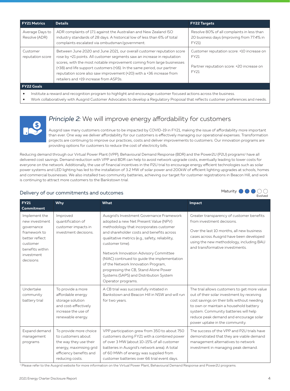| <b>FY21 Metrics</b>                                                                                                 | <b>Details</b>                                                                                                                                                                                                                                                                                                                                                                                                           | <b>FY22 Targets</b>                                                                                     |  |  |
|---------------------------------------------------------------------------------------------------------------------|--------------------------------------------------------------------------------------------------------------------------------------------------------------------------------------------------------------------------------------------------------------------------------------------------------------------------------------------------------------------------------------------------------------------------|---------------------------------------------------------------------------------------------------------|--|--|
| Average Days to<br>Resolve (ADR)                                                                                    | ADR complaints of 17.1 against the Australian and New Zealand ISO<br>industry standards of 28 days. A historical low of less than 6% of total<br>complaints escalated via ombudsman/government.                                                                                                                                                                                                                          | Resolve 80% of all complaints in less than<br>20 business days (improving from 77.4% in<br>FY21)        |  |  |
| Customer<br>reputation score                                                                                        | Between June 2020 and June 2021, our overall customer reputation score<br>rose by +21 points. All customer segments saw an increase in reputation<br>scores, with the most notable improvement coming from large businesses<br>(+38) and life support customers (+16). In the same period, our partner<br>reputation score also saw improvement (+20) with a +36 increase from<br>retailers and +19 increase from ASP3s. | Customer reputation score: +10 increase on<br>FY21<br>Partner reputation score: +20 increase on<br>FY21 |  |  |
| FY22 Goals                                                                                                          |                                                                                                                                                                                                                                                                                                                                                                                                                          |                                                                                                         |  |  |
| Institute a reward and recognition program to highlight and encourage customer focused actions across the business. |                                                                                                                                                                                                                                                                                                                                                                                                                          |                                                                                                         |  |  |

• Work collaboratively with Ausgrid Customer Advocates to develop a Regulatory Proposal that reflects customer preferences and needs.



**FY22** 

## *Principle 2:* We will improve energy affordability for customers

Ausgrid saw many customers continue to be impacted by COVID-19 in FY21, making the issue of affordability more important than ever. One way we deliver affordability for our customers is effectively managing our operational expenses. Transformation projects are continuing to improve our practices, costs and deliver improvements to customers. Our innovation programs are providing options for customers to reduce the cost of electricity bills.

Reducing demand through our Virtual Power Plant (VPP), Behavioural Demand Response (BDR) and the Power2U (P2U) programs<sup>1</sup> have all delivered cost savings. Demand reduction with VPP and BDR can help to avoid network upgrade costs, eventually leading to lower costs for everyone on the network. Additionally, the use of financial incentives in the P2U trial to encourage energy efficient technologies such as solar power systems and LED lighting has led to the installation of 3.2 MW of solar power and 200kW of efficient lighting upgrades at schools, homes and commercial businesses. We also installed two community batteries, achieving our target for customer registrations in Beacon Hill, and work is continuing to attract more customers to the Bankstown trial.

## Delivery of our commitments and outcomes

| <b>FY21</b><br><b>Commitment</b>                                                                                                           | Why                                                                                                                                             | What                                                                                                                                                                                                                                                                                                                                                                                                                                                                                    | Impact                                                                                                                                                                                                                                                                                                   |
|--------------------------------------------------------------------------------------------------------------------------------------------|-------------------------------------------------------------------------------------------------------------------------------------------------|-----------------------------------------------------------------------------------------------------------------------------------------------------------------------------------------------------------------------------------------------------------------------------------------------------------------------------------------------------------------------------------------------------------------------------------------------------------------------------------------|----------------------------------------------------------------------------------------------------------------------------------------------------------------------------------------------------------------------------------------------------------------------------------------------------------|
| Implement the<br>new investment.<br>governance<br>framework to<br>better reflect<br>customer<br>benefits within<br>investment<br>decisions | Improved<br>quantification of<br>customer impacts in<br>investment decisions.                                                                   | Ausgrid's Investment Governance Framework<br>adopted a new Net Present Value (NPV)<br>methodology that incorporates customer<br>and shareholder costs and benefits across<br>qualitative metrics (e.g., safety, reliability,<br>customer time).<br>Network Innovation Advisory Committee<br>(NIAC) continued to guide the implementation<br>of the Network Innovation Program,<br>progressing the CB, Stand Alone Power<br>Systems (SAPS) and Distribution System<br>Operator programs. | Greater transparency of customer benefits<br>from investment decisions.<br>Over the last 10 months, all new business<br>cases across Ausgrid have been developed<br>using the new methodology, including BAU<br>and transformative investments.                                                          |
| Undertake<br>community<br>battery trial                                                                                                    | To provide a more<br>affordable energy<br>storage solution<br>and cost-effectively<br>increase the use of<br>renewable energy.                  | A CB trial was successfully initiated in<br>Bankstown and Beacon Hill in NSW and will run<br>for two years.                                                                                                                                                                                                                                                                                                                                                                             | The trial allows customers to get more value<br>out of their solar investment by receiving<br>cost savings on their bills without needing<br>to own or maintain a household battery<br>system. Community batteries will help<br>reduce peak demand and encourage solar<br>power uptake in the community. |
| Expand demand<br>management<br>programs                                                                                                    | To provide more choice<br>to customers about<br>the way they use their<br>energy, maximising grid<br>efficiency benefits and<br>reducing costs. | VPP participation grew from 350 to about 750<br>customers during FY21 with a combined power<br>of over 3 MW (about 10-15% of all customer<br>batteries in Ausgrid's network area). A total<br>of 60 MWh of energy was supplied from<br>customer batteries over 66 trial event days.                                                                                                                                                                                                     | The success of the VPP and P2U trials have<br>demonstrated that they are viable demand<br>management alternatives to network<br>investment in managing peak demand.                                                                                                                                      |
|                                                                                                                                            |                                                                                                                                                 | <sup>1</sup> Please refer to the Ausgrid website for more information on the Virtual Power Plant, Behavioural Demand Response and Power2U programs.                                                                                                                                                                                                                                                                                                                                     |                                                                                                                                                                                                                                                                                                          |

**Evolved** 

Maturity **OOO**OO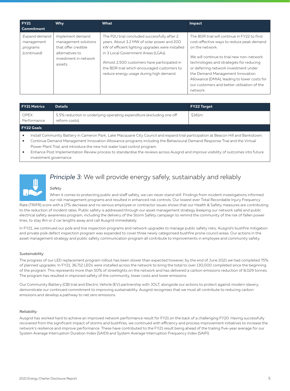| <b>FY21</b><br>l Commitment                            | <b>Why</b>                                                                                                             | What                                                                                                                                                                                                                                                                                                                           | Impact                                                                                                                                                                                                                                                                                                                                                                                       |
|--------------------------------------------------------|------------------------------------------------------------------------------------------------------------------------|--------------------------------------------------------------------------------------------------------------------------------------------------------------------------------------------------------------------------------------------------------------------------------------------------------------------------------|----------------------------------------------------------------------------------------------------------------------------------------------------------------------------------------------------------------------------------------------------------------------------------------------------------------------------------------------------------------------------------------------|
| Expand demand<br>management<br>programs<br>(continued) | Implement demand<br>management solutions<br>that offer credible<br>alternatives to<br>investment in network<br>assets. | The P2U trial concluded successfully after 2<br>years. About 3.2 MW of solar power and 200<br>kW of efficient lighting upgrades were installed<br>in 3 Local Government Areas (LGAs).<br>Almost 2,500 customers have participated in<br>the BDR trial which encouraged customers to<br>reduce energy usage during high demand. | The BDR trial will continue in FY22 to find<br>cost-effective ways to reduce peak demand<br>on the network.<br>We will continue to trial new non-network<br>technologies and strategies for reducing<br>or deferring network investment under<br>the Demand Management Innovation<br>Allowance (DMIA), leading to lower costs for<br>our customers and better utilisation of the<br>network. |

| <b>FY21 Metrics</b>                                                                                                                                                                                                                                                                                                                         | <b>Details</b>                                                                          | <b>FY22 Target</b> |  |
|---------------------------------------------------------------------------------------------------------------------------------------------------------------------------------------------------------------------------------------------------------------------------------------------------------------------------------------------|-----------------------------------------------------------------------------------------|--------------------|--|
| <b>OPEX</b><br>Performance                                                                                                                                                                                                                                                                                                                  | 5.5% reduction in underlying operating expenditure (excluding one off<br>reform costs). | \$361m             |  |
| <b>FY22 Goals</b>                                                                                                                                                                                                                                                                                                                           |                                                                                         |                    |  |
| Install Community Battery in Cameron Park, Lake Macquarie City Council and expand trial participation at Beacon Hill and Bankstown.<br>Continue Demand Management Innovation Allowance programs including the Behavioural Demand Response Trial and the Virtual<br>Power Plant Trial, and introduce the new hot water load control program. |                                                                                         |                    |  |

• Enhance Post Implementation Review process to standardise the reviews across Ausgrid and improve visibility of outcomes into future investment governance.



## *Principle 3:* We will provide energy safely, sustainably and reliably

#### *Safety*

When it comes to protecting public and staff safety, we can never stand still. Findings from incident investigations informed our risk management programs and resulted in enhanced risk controls. Our lowest ever Total Recordable Injury Frequency

Rate (TRIFR) score with a 17% decrease and no serious employee or contractor issues shows that our Health & Safety measures are contributing to the reduction of incident rates. Public safety is addressed through our asset management strategy (keeping our network safe) and public electrical safety awareness program, including the delivery of the Storm Safety campaign to remind the community of the risk of fallen power lines, to stay 8m or 2 car lengths away and call Ausgrid immediately.

In FY21, we continued our pole and line inspection programs and network upgrades to manage public safety risks; Ausgrid's bushfire mitigation and private pole defect inspection program was expanded to cover three newly categorised bushfire prone council areas. Our actions in the asset management strategy and public safety communication program all contribute to improvements in employee and community safety.

#### *Sustainability*

The progress of our LED replacement program rollout has been slower than expected however, by the end of June 2021 we had completed 75% of planned upgrades. In FY21, 36,712 LEDs were installed across the network to bring the total to over 130,000 completed since the beginning of the program. This represents more than 50% of streetlights on the network and has delivered a carbon emissions reduction of 8,029 tonnes. The program has resulted in improved safety of the community, lower costs and lower emissions.

Our Community Battery (CB) trial and Electric Vehicle (EV) partnership with JOLT, alongside our actions to protect against modern slavery, demonstrate our continued commitment to improving sustainability. Ausgrid recognises that we must all contribute to reducing carbon emissions and develop a pathway to net zero emissions.

#### *Reliability*

Ausgrid has worked hard to achieve an improved network performance result for FY21 on the back of a challenging FY20. Having successfully recovered from the significant impact of storms and bushfires, we continued with efficiency and process improvement initiatives to increase the network's resilience and improve performance. These have contributed to the FY21 result being ahead of the trailing five-year average for our System Average Interruption Duration Index (SAIDI) and System Average Interruption Frequency Index (SAIFI).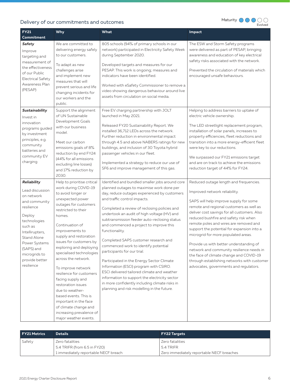

| <b>FY21</b><br>Commitment                                                                                                                                                                                                                 | <b>Why</b>                                                                                                                                                                                                                                                                                                                                                                                                                                                                                                                                                                       | What                                                                                                                                                                                                                                                                                                                                                                                                                                                                                                                                                                                                                                                                                                                                                                                           | Impact                                                                                                                                                                                                                                                                                                                                                                                                                                                                                                                                                                                                            |
|-------------------------------------------------------------------------------------------------------------------------------------------------------------------------------------------------------------------------------------------|----------------------------------------------------------------------------------------------------------------------------------------------------------------------------------------------------------------------------------------------------------------------------------------------------------------------------------------------------------------------------------------------------------------------------------------------------------------------------------------------------------------------------------------------------------------------------------|------------------------------------------------------------------------------------------------------------------------------------------------------------------------------------------------------------------------------------------------------------------------------------------------------------------------------------------------------------------------------------------------------------------------------------------------------------------------------------------------------------------------------------------------------------------------------------------------------------------------------------------------------------------------------------------------------------------------------------------------------------------------------------------------|-------------------------------------------------------------------------------------------------------------------------------------------------------------------------------------------------------------------------------------------------------------------------------------------------------------------------------------------------------------------------------------------------------------------------------------------------------------------------------------------------------------------------------------------------------------------------------------------------------------------|
| Safety<br>Improve<br>targeting and<br>measurement of<br>the effectiveness<br>of our Public<br><b>Electrical Safety</b><br>Awareness Plan<br>(PESAP)                                                                                       | We are committed to<br>delivering energy safely<br>to our customers.<br>To adapt as new<br>challenges arise<br>and implement new<br>measures that will<br>prevent serious and life<br>changing incidents for<br>our workers and the<br>public.                                                                                                                                                                                                                                                                                                                                   | 805 schools (94% of primary schools in our<br>network) participated in Electricity Safety Week<br>during September 2020.<br>Developed targets and measures for our<br>PESAP. This work is ongoing; measures and<br>indicators have been identified.<br>Worked with eSafety Commissioner to remove a<br>video showing dangerous behaviour around live<br>assets from circulation on social media.                                                                                                                                                                                                                                                                                                                                                                                               | The ESW and Storm Safety programs<br>were delivered as part of PESAP, bringing<br>awareness and education of key electrical<br>safety risks associated with the network.<br>Prevented the circulation of materials which<br>encouraged unsafe behaviours.                                                                                                                                                                                                                                                                                                                                                         |
| Sustainability<br>Invest in<br>innovation<br>programs guided<br>by investment<br>principles, e.g.<br>community<br>batteries and<br>community EV<br>charging                                                                               | Support the alignment<br>of UN Sustainable<br>Development Goals<br>with our business<br>model.<br>Meet our carbon<br>emissions goals of 8%<br>reduction by end FY24<br>(44% for all emissions<br>excluding line losses)<br>and 17% reduction by<br>2030.                                                                                                                                                                                                                                                                                                                         | Free EV charging partnership with JOLT<br>launched in May 2021.<br>Released FY20 Sustainability Report. We<br>installed 36,712 LEDs across the network.<br>Further reduction in environmental impact<br>through 4.5 and above NABERS ratings for new<br>buildings, and inclusion of 30 Toyota hybrid<br>passenger vehicles in our fleet.<br>Implemented a strategy to reduce our use of<br>SF6 and improve management of this gas.                                                                                                                                                                                                                                                                                                                                                             | Helping to address barriers to uptake of<br>electric vehicle ownership.<br>The LED streetlight replacement program,<br>installation of solar panels, increases to<br>property efficiencies, fleet reductions and<br>transition into a more energy-efficient fleet<br>were key to our reductions.<br>We surpassed our FY21 emissions target<br>and are on track to achieve the emissions<br>reduction target of 44% for FY24.                                                                                                                                                                                      |
| Reliability<br>Lead discussion<br>on network<br>and community<br>resilience<br>Deploy<br>technologies<br>such as<br>Intellirupters,<br><b>Stand Alone</b><br>Power Systems<br>(SAPS) and<br>microgrids to<br>provide better<br>resilience | Help to prioritise critical<br>work during COVID-19<br>to avoid longer or<br>unexpected power<br>outages for customers<br>restricted to their<br>homes.<br>Continuation of<br>improvements to<br>supply and restoration<br>issues for customers by<br>exploring and deploying<br>specialised technologies<br>across the network.<br>To improve network<br>resilience for customers<br>facing supply and<br>restoration issues<br>due to weather-<br>based events. This is<br>important in the face<br>of climate change and<br>increasing prevalence of<br>major weather events. | Identified and bundled smaller jobs around core<br>planned outages to maximise work done per<br>day, reduce outages experienced by customers<br>and traffic control impacts.<br>Completed a review of reclosing policies and<br>undertook an audit of high voltage (HV) and<br>subtransmission feeder auto-reclosing status<br>and commenced a project to improve this<br>functionality.<br>Completed SAPS customer research and<br>commenced work to identify potential<br>participants for our trial.<br>Participated in the Energy Sector Climate<br>Information (ESCI) program with CSIRO.<br>ESCI delivered tailored climate and weather<br>information to support the electricity sector<br>in more confidently including climate risks in<br>planning and risk modelling in the future. | Reduced outage length and frequencies.<br>Improved network reliability.<br>SAPS will help improve supply for some<br>remote and regional customers as well as<br>deliver cost savings for all customers. Also<br>reduced bushfire and safety risk when<br>remote poles and wires are removed and<br>support the potential for expansion into a<br>microgrid for more populated areas.<br>Provide us with better understanding of<br>network and community resilience needs in<br>the face of climate change and COVID-19<br>through establishing networks with customer<br>advocates, governments and regulators. |

| <b>FY21 Metrics</b> | <b>Details</b>                       | <b>FY22 Targets</b>                       |
|---------------------|--------------------------------------|-------------------------------------------|
| Safety              | Zero fatalities                      | l Zero fatalities                         |
|                     | 5.4 TRIFR (from 6.5 in FY20)         | 5.4 TRIFR                                 |
|                     | 1 immediately reportable NECF breach | Zero immediately reportable NECF breaches |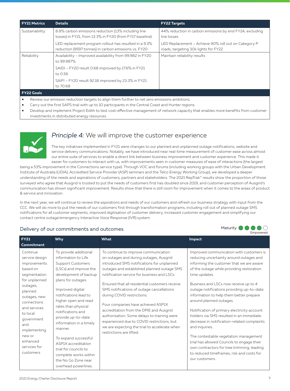| <b>FY21 Metrics</b> | <b>Details</b>                                                                                                  | <b>FY22 Targets</b>                                                                          |
|---------------------|-----------------------------------------------------------------------------------------------------------------|----------------------------------------------------------------------------------------------|
| Sustainability      | 8.8% carbon emissions reduction (13% including line<br>losses) in FY21, from 13.3% in FY20 (from FY17 baseline) | 44% reduction in carbon emissions by end FY24, excluding<br>line losses                      |
|                     | LED replacement program rollout has resulted in a 9.3%<br>reduction (9597 tonnes) in carbon emissions vs. FY20  | LED Replacement - Achieve 90% roll out on Category P<br>roads, targeting 30k lights for FY22 |
| Reliability         | Availability - Improved availability from 99.982 in FY20<br>to 99.987%                                          | Maintain reliability results                                                                 |
|                     | SAIDI - FY20 result 0.68 improved by 17.6% in FY21<br>to 0.56                                                   |                                                                                              |
|                     | SAIFI - FY20 result 92.18 improved by 23.3% in FY21<br>to 70.68                                                 |                                                                                              |
| <b>FY22 Goals</b>   |                                                                                                                 |                                                                                              |
|                     |                                                                                                                 |                                                                                              |

- Review our emission reduction targets to align them further to net zero emissions ambitions.
- Carry out the first SAPS trial with up to 10 participants in the Central Coast and Hunter regions.
- Develop and implement Project Edith to test cost-effective management of network capacity that enables more benefits from customer investments in distributed energy resources.



## *Principle 4:* We will improve the customer experience

The key initiatives implemented in FY21 were changes to our planned and unplanned outage notifications, website and service delivery communications. Notably, we have introduced near real-time measurement of customer ease across almost our entire suite of services to enable a direct link between business improvement and customer experience. This made it easier for customers to interact with us, with improvements seen in customer measures of ease of interactions (the largest

being a 53% improvement in the Connections service type). Through VOC and forums (including working groups with the Urban Development Institute of Australia (UDIA), Accredited Service Provider (ASP) seminars and the Telco Energy Working Group), we developed a deeper understanding of the needs and aspirations of customers, partners and stakeholders. The 2021 RepTrak® results show the proportion of those surveyed who agree that Ausgrid is trusted to put the needs of customers first has doubled since 2019, and customer perception of Ausgrid's communication has shown significant improvement. Results show that there is still room for improvement when it comes to the areas of product & service and innovation.

In the next year, we will continue to review the aspirations and needs of our customers and refresh our business strategy with input from the CCC. We will do more to put the needs of our customers first through transformation programs, including roll out of planned outage SMS notifications for all customer segments, improved digitisation of customer delivery, increased customer engagement and simplifying our contact centre outage/emergency Interactive Voice Response (IVR) system.



| <b>FY21</b>                                                                                                                                                                 | <b>Why</b>                                                                                                                                                                                                                                    | What                                                                                                                                                                                                                                                                                                                                                                                         | <b>Impact</b>                                                                                                                                                                                                                                                                                                                                                |
|-----------------------------------------------------------------------------------------------------------------------------------------------------------------------------|-----------------------------------------------------------------------------------------------------------------------------------------------------------------------------------------------------------------------------------------------|----------------------------------------------------------------------------------------------------------------------------------------------------------------------------------------------------------------------------------------------------------------------------------------------------------------------------------------------------------------------------------------------|--------------------------------------------------------------------------------------------------------------------------------------------------------------------------------------------------------------------------------------------------------------------------------------------------------------------------------------------------------------|
| Commitment<br>Continue<br>service design<br>improvements<br>based on<br>segmentation<br>for unplanned<br>outages,<br>planned<br>outages, new<br>connections<br>and services | To provide additional<br>information to Life<br><b>Support Customers</b><br>(LSCs) and improve the<br>development of backup<br>plans for outages.<br>Improved digital<br>notifications lead to<br>higher open and read<br>rates than physical | To continue to improve communication<br>on outages and during outages, Ausgrid<br>introduced SMS notifications for unplanned<br>outages and established planned outage SMS<br>notification service for business and LSCs.<br>Ensured that all residential customers receive<br>SMS notifications of outage cancellations<br>during COVID restrictions.<br>Four companies have achieved ASP1X | Improved communication with customers is<br>reducing uncertainty around outages and<br>informing the customer that we are aware<br>of the outage while providing restoration<br>time updates.<br>Business and LSCs now receive up to 4<br>outage notifications providing up-to-date<br>information to help them better prepare<br>around planned outages.    |
| to local<br>government<br>and<br>implementing<br>new or<br>enhanced<br>services for<br>customers                                                                            | notifications and<br>provide up-to-date<br>information in a timely<br>manner.<br>To expand successful<br>ASP1X accreditation<br>trial for councils to<br>complete works within<br>the No Go Zone near<br>overhead powerlines.                 | accreditation from the DPIE and Ausgrid<br>authorisation. Some delays to training were<br>experienced due to COVID restrictions, but<br>we are expecting the trial to accelerate when<br>restrictions are lifted.                                                                                                                                                                            | Notification of primary electricity account<br>holders via SMS resulted in an immediate<br>decrease in notification-related complaints<br>and inquiries.<br>The contestable vegetation management<br>trial has allowed Councils to engage their<br>own contractors for tree trimming, leading<br>to reduced timeframes, risk and costs for<br>our customers. |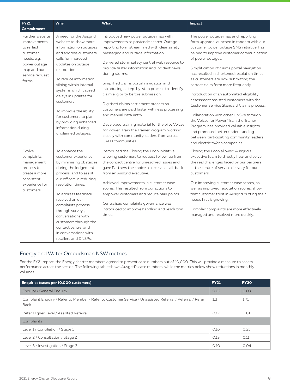| <b>FY21</b>                                                                                                                                | Why                                                                                                                                                                                                                                                                                                                                                                                                     | What                                                                                                                                                                                                                                                                                                                                                                                                                                                                                                                                                                                                                                                                                                                        | Impact                                                                                                                                                                                                                                                                                                                                                                                                                                                                                                                                                                                                                                                                                                                                                      |
|--------------------------------------------------------------------------------------------------------------------------------------------|---------------------------------------------------------------------------------------------------------------------------------------------------------------------------------------------------------------------------------------------------------------------------------------------------------------------------------------------------------------------------------------------------------|-----------------------------------------------------------------------------------------------------------------------------------------------------------------------------------------------------------------------------------------------------------------------------------------------------------------------------------------------------------------------------------------------------------------------------------------------------------------------------------------------------------------------------------------------------------------------------------------------------------------------------------------------------------------------------------------------------------------------------|-------------------------------------------------------------------------------------------------------------------------------------------------------------------------------------------------------------------------------------------------------------------------------------------------------------------------------------------------------------------------------------------------------------------------------------------------------------------------------------------------------------------------------------------------------------------------------------------------------------------------------------------------------------------------------------------------------------------------------------------------------------|
| <b>Commitment</b>                                                                                                                          |                                                                                                                                                                                                                                                                                                                                                                                                         |                                                                                                                                                                                                                                                                                                                                                                                                                                                                                                                                                                                                                                                                                                                             |                                                                                                                                                                                                                                                                                                                                                                                                                                                                                                                                                                                                                                                                                                                                                             |
| Further website<br><i>improvements</i><br>to reflect<br>customer<br>needs, e.g.<br>power outage<br>map and our<br>service request<br>forms | A need for the Ausgrid<br>website to show more<br>information on outages<br>and address customers<br>calls for improved<br>updates on outage<br>restoration.<br>To reduce information<br>siloing within internal<br>systems which caused<br>delays in updates for<br>customers.<br>To improve the ability<br>for customers to plan<br>by providing enhanced<br>information during<br>unplanned outages. | Introduced new power outage map with<br>improvements to postcode search. Outage<br>reporting form streamlined with clear safety<br>messaging and outage information.<br>Delivered storm safety central web resource to<br>provide faster information and incident news<br>during storms.<br>Simplified claims portal navigation and<br>introducing a step-by-step process to identify<br>claim eligibility before submission.<br>Digitised claims settlement process so<br>customers are paid faster with less processing<br>and manual data entry.<br>Developed training material for the pilot Voices<br>for Power 'Train the Trainer Program' working<br>closely with community leaders from across<br>CALD communities. | The power outage map and reporting<br>form upgrade launched in tandem with our<br>customer power outage SMS initiative, has<br>helped to improve customer communication<br>of power outages.<br>Simplification of claims portal navigation<br>has resulted in shortened resolution times<br>as customers are now submitting the<br>correct claim form more frequently.<br>Introduction of an automated eligibility<br>assessment assisted customers with the<br>Customer Service Standard Claims process.<br>Collaboration with other DNSPs through<br>the Voices for Power 'Train the Trainer<br>Program' has provided valuable insights<br>and promoted better understanding<br>between participating community leaders<br>and electricity/gas companies. |
| Evolve<br>complaints<br>management<br>process to<br>create a more<br>consistent<br>experience for<br>customers                             | To enhance the<br>customer experience<br>by minimising obstacles<br>during the lodgement<br>process, and to assist<br>our officers in reducing<br>resolution times.<br>To address feedback<br>received on our<br>complaints process<br>through surveys,<br>conversations with<br>customers through the<br>contact centre, and<br>in conversations with<br>retailers and DNSPs.                          | Introduced the Closing the Loop initiative<br>allowing customers to request follow-up from<br>the contact centre for unresolved issues and<br>gave Partners the choice to receive a call-back<br>from an Ausgrid executive.<br>Achieved improvements in customer ease<br>scores. This resulted from our actions to<br>empower customers and reduce pain points.<br>Centralised complaints governance was<br>introduced to improve handling and resolution<br>times.                                                                                                                                                                                                                                                         | Closing the Loop allowed Ausgrid's<br>executive team to directly hear and solve<br>the real challenges faced by our partners<br>at the centre of service delivery for our<br>customers.<br>Our improving customer ease scores, as<br>well as improved reputation scores, show<br>that customer trust in Ausgrid putting their<br>needs first is growing.<br>Complex complaints are more effectively<br>managed and resolved more quickly.                                                                                                                                                                                                                                                                                                                   |

### Energy and Water Ombudsman NSW metrics

For the FY21 report, the Energy charter members agreed to present case numbers out of 10,000. This will provide a measure to assess performance across the sector. The following table shows Ausgrid's case numbers, while the metrics below show reductions in monthly volumes.

| Enquiries (cases per 10,000 customers)                                                                           | <b>FY21</b> | <b>FY20</b> |  |
|------------------------------------------------------------------------------------------------------------------|-------------|-------------|--|
| Enquiry / General Enquiry                                                                                        | 0.02        | 0.03        |  |
| Complaint Enquiry / Refer to Member / Refer to Customer Service / Unassisted Referral / Referral / Refer<br>Back | 1.3         | 1.71        |  |
| Refer Higher Level / Assisted Referral                                                                           | 0.62        | 0.81        |  |
| Complaints                                                                                                       |             |             |  |
| Level 1 / Conciliation / Stage 1                                                                                 | 0.16        | 0.25        |  |
| Level 2 / Consultation / Stage 2                                                                                 | 0.13        | O.11        |  |
| Level 3 / Investigation / Stage 3                                                                                | O.1O        | 0.04        |  |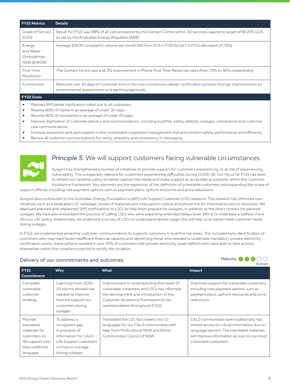| <b>FY21 Metrics</b>                            | <b>Details</b>                                                                                                                                                            |
|------------------------------------------------|---------------------------------------------------------------------------------------------------------------------------------------------------------------------------|
| Grade of Service<br>(GOS)                      | Result for FY21 was 88% of all calls answered by the Contact Centre within 30 seconds, against a target of 81.25% GOS<br>as set by the Australian Energy Regulator (AER). |
| Energy<br>and Water<br>Ombudsman<br>NSW (EWON) | Average EWON complaints volume per month fell from 15.9 in FY20 to 14.7 in FY21 (decrease of 7.8%).                                                                       |
| First Time<br>Resolution                       | The Contact Centre saw a 16.3% improvement in Phone First Time Response rates (from 75% to 92% respectively).                                                             |
| Connections                                    | Reduced over 30 days of Customer time in the new connections design certification process through improvements to<br>environmental assessments and earthing approvals.    |
| <b>FY22 Goals</b>                              |                                                                                                                                                                           |

- Planned SMS/email notification rolled out to all customers.
- Resolve 80% of claims in an average of under 30 days.
- Resolve 80% of complaints in an average of under 20 days.
- Improve digitisation of customer delivery and communications, including bushfire, safety defects, outages, connections and customer care communications.
- Increase awareness and participation in the contestable vegetation management trial and monitor safety, performance and efficiency.
- Review all customer communications for clarity, empathy and consistency in messaging.



## *Principle 5:* We will support customers facing vulnerable circumstances

Ausgrid has strengthened a number of initiatives to provide support for customers experiencing, or at risk of experiencing, vulnerability. This is especially relevant for customers experiencing difficulties during COVID-19. Our focus for FY21 has been to refresh our hardship policy to better capture the needs and make support as accessible as possible, within the Customer Assistance Framework. Key elements are the expansion of the definition of vulnerable customers and expanding the scope of

support offered, including new payment options such as payment plans, upfront discounts and price reductions.

Ausgrid also contributed to the Australian Energy Foundation's (AEF) Life Support Customer (LSC) research. This research has informed new initiatives such as a dedicated LSC webpage, review of materials and interruption notices and phone line for improved access to resources. We deployed planned and unplanned SMS notifications to LSCs to help them prepare for outages, in addition to the direct contact for planned outages. We have also embedded the practice of calling LSCs who were expecting extended delays (over 24hrs) to undertake a welfare check into our LSC policy. Additionally, we undertook a survey of LSCs to understand device usage; this will help us to better meet customer needs during outages.

In FY21, we implemented proactive customer communications to support customers in bushfire risk areas. This included early identification of customers who may have faced insufficient financial capacity and identifying those who needed to undertake mandatory private electricity rectification works; these actions resulted in over 95% of customers with private electricity asset defects who were able to take actions themselves within the compliance period to rectify the situation.



| <b>FY21</b><br>Commitment                                                                                  | <b>Why</b>                                                                                                                                 | What                                                                                                                                                                                                            | Impact                                                                                                                                                                                                           |
|------------------------------------------------------------------------------------------------------------|--------------------------------------------------------------------------------------------------------------------------------------------|-----------------------------------------------------------------------------------------------------------------------------------------------------------------------------------------------------------------|------------------------------------------------------------------------------------------------------------------------------------------------------------------------------------------------------------------|
| Complete<br>vulnerable<br>customer<br>strategy                                                             | Learnings from 2019-<br>20 storms showed we<br>needed to improve<br>how we support our<br>customers during<br>outages.                     | Improvement in understanding the needs of<br>vulnerable customers and LSCs has informed<br>the development and introduction of the<br>Customer Assistance Framework (to be<br>operationalised throughout FY22). | Improved support for vulnerable customers<br>including new payment options such as<br>payment plans, upfront discounts and price<br>reductions.                                                                  |
| Provide<br>translated<br>materials for<br>customers on<br>life support into<br>their preferred<br>language | To address a<br>recognised gap<br>in provision of<br>information for CALD<br>Life Support customers<br>on how to manage<br>during outages. | Translated the LSC fact sheets into 10<br>languages for our CALD communities with<br>help from Multicultural NSW and Ethnic<br>Communities' Council of NSW.                                                     | CALD communities have traditionally had<br>limited access to critical information due to<br>language barriers. The translated materials<br>will improve information access for our most<br>vulnerable customers. |